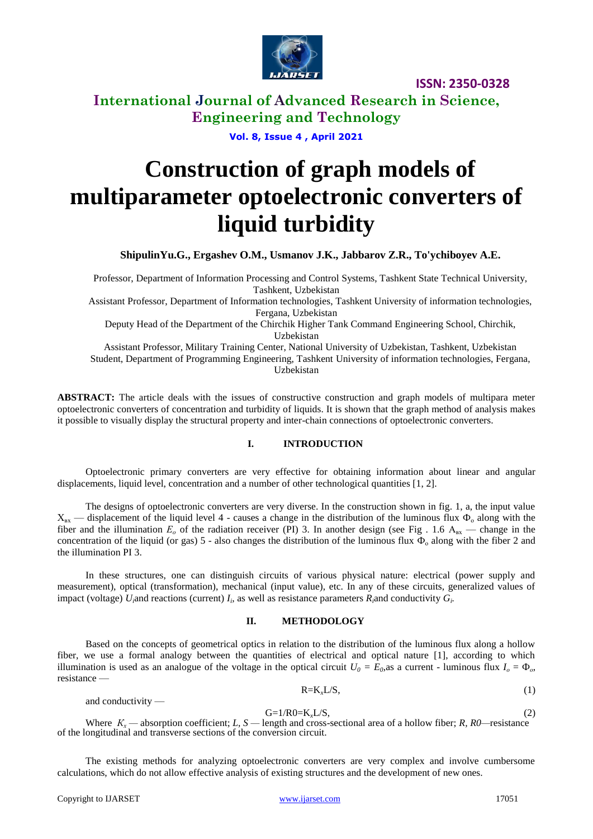

**ISSN: 2350-0328**

**International Journal of Advanced Research in Science, Engineering and Technology**

**Vol. 8, Issue 4 , April 2021**

# **Construction of graph models of multiparameter optoelectronic converters of liquid turbidity**

**ShipulinYu.G., Ergashev O.M., Usmanov J.K., Jabbarov Z.R., To'ychiboyev A.E.**

Professor, Department of Information Processing and Control Systems, Tashkent State Technical University, Tashkent, Uzbekistan

Assistant Professor, Department of Information technologies, Tashkent University of information technologies, Fergana, Uzbekistan

Deputy Head of the Department of the Chirchik Higher Tank Command Engineering School, Chirchik, Uzbekistan

Assistant Professor, Military Training Center, National University of Uzbekistan, Tashkent, Uzbekistan Student, Department of Programming Engineering, Tashkent University of information technologies, Fergana, Uzbekistan

**ABSTRACT:** The article deals with the issues of constructive construction and graph models of multipara meter optoelectronic converters of concentration and turbidity of liquids. It is shown that the graph method of analysis makes it possible to visually display the structural property and inter-chain connections of optoelectronic converters.

#### **I. INTRODUCTION**

Optoelectronic primary converters are very effective for obtaining information about linear and angular displacements, liquid level, concentration and a number of other technological quantities [1, 2].

The designs of optoelectronic converters are very diverse. In the construction shown in fig. 1, a, the input value  $X_{\text{ax}}$  — displacement of the liquid level 4 - causes a change in the distribution of the luminous flux  $\Phi_0$  along with the fiber and the illumination  $E_0$  of the radiation receiver (PI) 3. In another design (see Fig. 1.6 A<sub>BX</sub> — change in the concentration of the liquid (or gas) 5 - also changes the distribution of the luminous flux  $\Phi_0$  along with the fiber 2 and the illumination PI 3.

In these structures, one can distinguish circuits of various physical nature: electrical (power supply and measurement), optical (transformation), mechanical (input value), etc. In any of these circuits, generalized values of impact (voltage)  $U_i$  and reactions (current)  $I_i$ , as well as resistance parameters  $R_i$  and conductivity  $G_i$ .

#### **II. METHODOLOGY**

Based on the concepts of geometrical optics in relation to the distribution of the luminous flux along a hollow fiber, we use a formal analogy between the quantities of electrical and optical nature [1], according to which illumination is used as an analogue of the voltage in the optical circuit  $U_0 = E_0$ , as a current - luminous flux  $I_0 = \Phi_0$ , resistance —

$$
R=K_xL/S,\t\t(1)
$$

and conductivity —

 $G=1/R0=K_xL/S,$  (2)

Where  $K_x$  — absorption coefficient; *L*, *S* — length and cross-sectional area of a hollow fiber; *R, R0*—resistance of the longitudinal and transverse sections of the conversion circuit.

The existing methods for analyzing optoelectronic converters are very complex and involve cumbersome calculations, which do not allow effective analysis of existing structures and the development of new ones.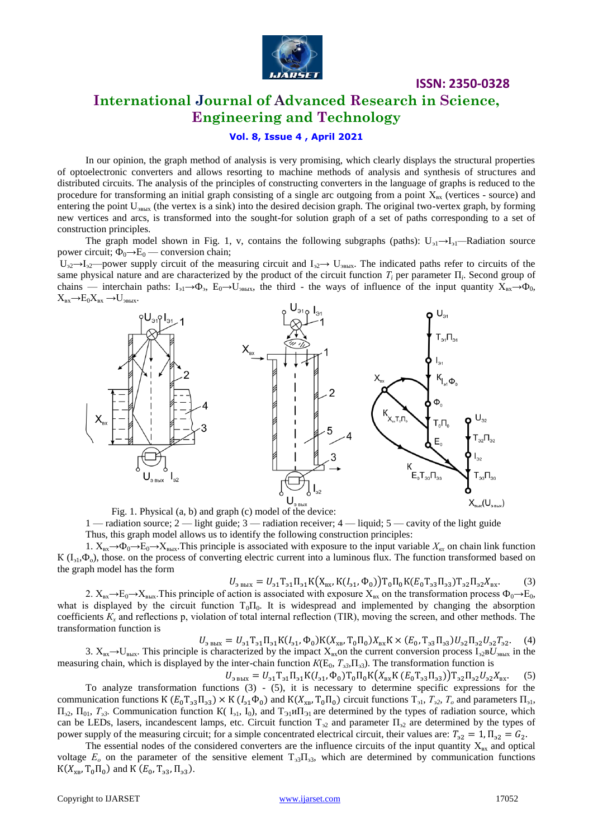

**ISSN: 2350-0328**

## **International Journal of Advanced Research in Science, Engineering and Technology**

#### **Vol. 8, Issue 4 , April 2021**

In our opinion, the graph method of analysis is very promising, which clearly displays the structural properties of optoelectronic converters and allows resorting to machine methods of analysis and synthesis of structures and distributed circuits. The analysis of the principles of constructing converters in the language of graphs is reduced to the procedure for transforming an initial graph consisting of a single arc outgoing from a point  $X_{\text{ax}}$  (vertices - source) and entering the point U<sub>3BbIX</sub> (the vertex is a sink) into the desired decision graph. The original two-vertex graph, by forming new vertices and arcs, is transformed into the sought-for solution graph of a set of paths corresponding to a set of construction principles.

The graph model shown in Fig. 1, v, contains the following subgraphs (paths): U<sub>21</sub>→I<sub>21</sub>—Radiation source power circuit;  $\Phi_0 \rightarrow E_0$  — conversion chain;

 $U_{32} \rightarrow U_{32}$ —power supply circuit of the measuring circuit and  $I_{32} \rightarrow U_{3B,K}$ . The indicated paths refer to circuits of the same physical nature and are characterized by the product of the circuit function  $T_i$  per parameter  $\Pi_i$ . Second group of chains — interchain paths:  $I_{\text{ol}} \rightarrow \Phi_{\text{3}}$ ,  $E_0 \rightarrow U_{\text{3BbIX}}$ , the third - the ways of influence of the input quantity  $X_{\text{bx}} \rightarrow \Phi_{0}$ ,  $X_{\text{BX}} \rightarrow E_0 X_{\text{BX}} \rightarrow U_{\text{BBBX}}.$ 



1 — radiation source; 2 — light guide; 3 — radiation receiver; 4 — liquid; 5 — cavity of the light guide Thus, this graph model allows us to identify the following construction principles:

1.  $X_{\text{px}} \rightarrow \Phi_0 \rightarrow E_0 \rightarrow X_{\text{BBX}}$ . This principle is associated with exposure to the input variable  $X_{\text{ex}}$  on chain link function  $K(I_{31},\Phi_o)$ , those, on the process of converting electric current into a luminous flux. The function transformed based on the graph model has the form

$$
U_{3 \text{ BBX}} = U_{31} T_{31} \Pi_{31} K(X_{\text{BX}}, K(I_{31}, \Phi_0)) T_0 \Pi_0 K(E_0 T_{33} \Pi_{33}) T_{32} \Pi_{32} X_{\text{BX}}.
$$
 (3)

2.  $X_{\text{BX}} \rightarrow E_0 \rightarrow X_{\text{BMX}}$ . This principle of action is associated with exposure  $X_{\text{BX}}$  on the transformation process  $\Phi_0 \rightarrow E_0$ , what is displayed by the circuit function  $T_0\Pi_0$ . It is widespread and implemented by changing the absorption coefficients *К<sup>х</sup>* and reflections р, violation of total internal reflection (TIR), moving the screen, and other methods. The transformation function is

 $U_{3 \text{ BBX}} = U_{31} T_{31} \Pi_{31} K (I_{31}, \Phi_0) K (X_{XB}, T_0 \Pi_0) X_{BX} K \times (E_0, T_{33} \Pi_{33}) U_{32} \Pi_{32} U_{32} T_{32}.$  (4)

3.  $X_{\text{bx}} \to U_{\text{bmx}}$ . This principle is characterized by the impact  $X_{\text{bx}}$ on the current conversion process  $I_{\text{a2}} B U_{\text{bmx}}$  in the measuring chain, which is displayed by the inter-chain function  $K(E_0, T_{33}, \Pi_{33})$ . The transformation function is

 $U_{3 \text{ BDX}} = U_{31} T_{31} \Pi_{31} K (I_{31}, \Phi_0) T_0 \Pi_0 K (X_{\text{BX}} K (E_0 T_{33} \Pi_{33})) T_{32} \Pi_{32} U_{32} X_{\text{BX}}.$  (5) To analyze transformation functions (3) - (5), it is necessary to determine specific expressions for the communication functions K ( $E_0 T_{33} \Pi_{33}$ ) × K ( $I_{31} \Phi_0$ ) and K( $X_{XB}$ ,  $T_0 \Pi_0$ ) circuit functions  $T_{31}$ ,  $T_{32}$ ,  $T_0$  and parameters  $\Pi_{31}$ ,  $\Pi_{32}$ ,  $\Pi_{01}$ ,  $T_{33}$ . Communication function K( $I_{31}$ ,  $I_0$ ), and  $T_{31}$ u $\Pi_{31}$  are determined by the types of radiation source, which can be LEDs, lasers, incandescent lamps, etc. Circuit function  $T_{22}$  and parameter  $\Pi_{22}$  are determined by the types of power supply of the measuring circuit; for a simple concentrated electrical circuit, their values are:  $T_{32} = 1$ ,  $\Pi_{32} = G_{2}$ .

The essential nodes of the considered converters are the influence circuits of the input quantity  $X_{\text{bx}}$  and optical voltage  $E<sub>o</sub>$  on the parameter of the sensitive element  $T<sub>33</sub>$ , which are determined by communication functions  $K(X_{XB}, T_0\Pi_0)$  and  $K(E_0, T_{33}, \Pi_{33})$ .